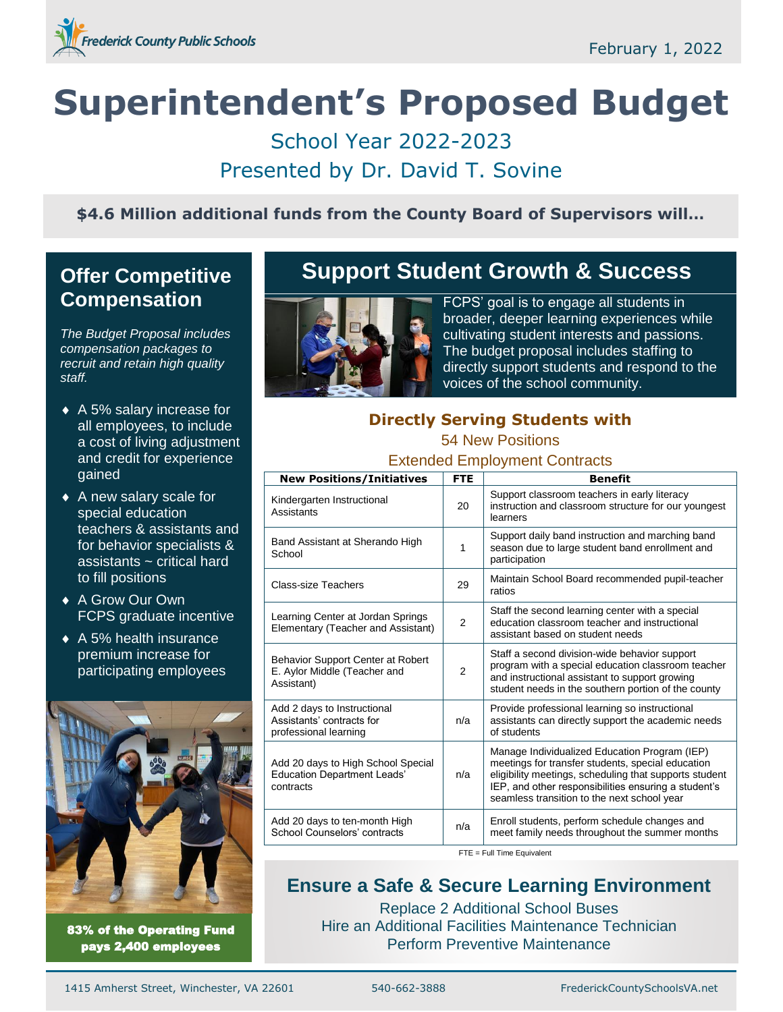

# **Superintendent's Proposed Budget**

School Year 2022-2023 Presented by Dr. David T. Sovine

**\$4.6 Million additional funds from the County Board of Supervisors will…**

# **Offer Competitive Compensation**

*The Budget Proposal includes compensation packages to recruit and retain high quality staff.*

- ◆ A 5% salary increase for all employees, to include a cost of living adjustment and credit for experience gained
- ◆ A new salary scale for special education teachers & assistants and for behavior specialists & assistants ~ critical hard to fill positions
- ◆ A Grow Our Own FCPS graduate incentive
- ◆ A 5% health insurance premium increase for participating employees



83% of the Operating Fund pays 2,400 employees

# **Support Student Growth & Success**



FCPS' goal is to engage all students in broader, deeper learning experiences while cultivating student interests and passions. The budget proposal includes staffing to directly support students and respond to the voices of the school community.

# **Directly Serving Students with**

#### 54 New Positions

#### Extended Employment Contracts

| <b>New Positions/Initiatives</b>                                                      | <b>FTE</b>     | <b>Benefit</b>                                                                                                                                                                                                                                                      |
|---------------------------------------------------------------------------------------|----------------|---------------------------------------------------------------------------------------------------------------------------------------------------------------------------------------------------------------------------------------------------------------------|
| Kindergarten Instructional<br>Assistants                                              | 20             | Support classroom teachers in early literacy<br>instruction and classroom structure for our youngest<br>learners                                                                                                                                                    |
| Band Assistant at Sherando High<br>School                                             | 1              | Support daily band instruction and marching band<br>season due to large student band enrollment and<br>participation                                                                                                                                                |
| <b>Class-size Teachers</b>                                                            | 29             | Maintain School Board recommended pupil-teacher<br>ratios                                                                                                                                                                                                           |
| Learning Center at Jordan Springs<br>Elementary (Teacher and Assistant)               | $\overline{2}$ | Staff the second learning center with a special<br>education classroom teacher and instructional<br>assistant based on student needs                                                                                                                                |
| Behavior Support Center at Robert<br>E. Aylor Middle (Teacher and<br>Assistant)       | $\overline{2}$ | Staff a second division-wide behavior support<br>program with a special education classroom teacher<br>and instructional assistant to support growing<br>student needs in the southern portion of the county                                                        |
| Add 2 days to Instructional<br>Assistants' contracts for<br>professional learning     | n/a            | Provide professional learning so instructional<br>assistants can directly support the academic needs<br>of students                                                                                                                                                 |
| Add 20 days to High School Special<br><b>Education Department Leads'</b><br>contracts | n/a            | Manage Individualized Education Program (IEP)<br>meetings for transfer students, special education<br>eligibility meetings, scheduling that supports student<br>IEP, and other responsibilities ensuring a student's<br>seamless transition to the next school year |
| Add 20 days to ten-month High<br>School Counselors' contracts                         | n/a            | Enroll students, perform schedule changes and<br>meet family needs throughout the summer months                                                                                                                                                                     |

FTE = Full Time Equivalent

# **Ensure a Safe & Secure Learning Environment**

Replace 2 Additional School Buses Hire an Additional Facilities Maintenance Technician Perform Preventive Maintenance

1415 Amherst Street, Winchester, VA 22601 540-662-3888 FrederickCountySchoolsVA.net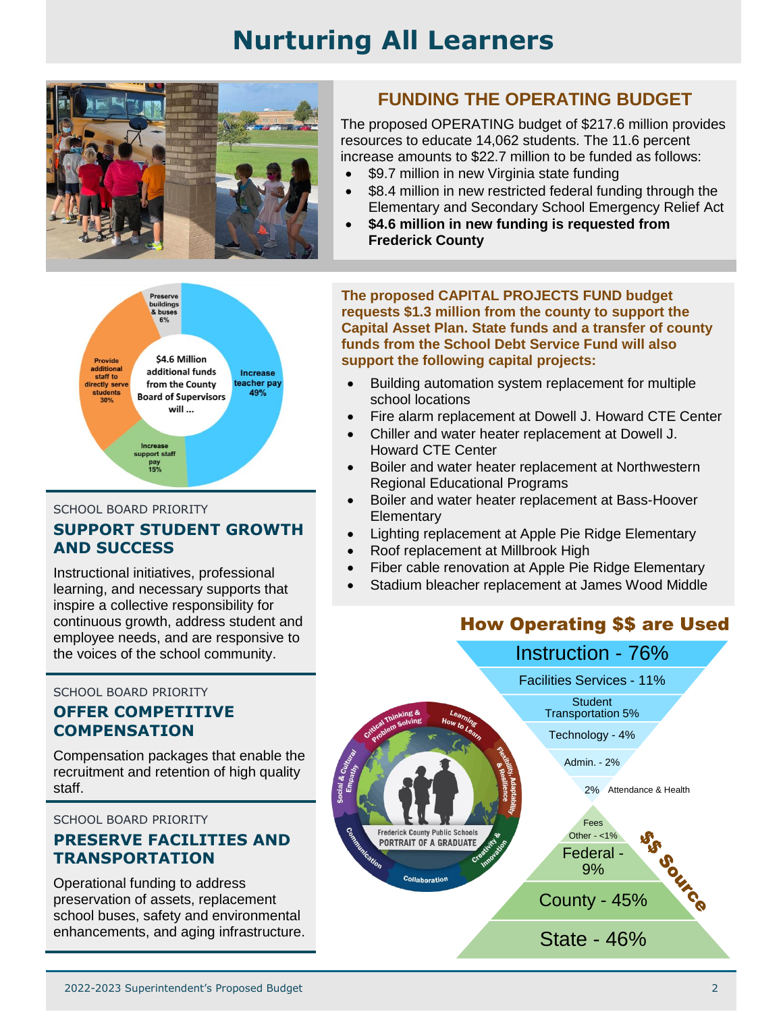# **Nurturing All Learners**



#### ing: \$4.6 Million Provide additional additional funds Increase staff to teacher pay directly serve from the County 49% **students Board of Supervisors**  $30%$ will ... **Increase** upport staff pay<br>15%

#### SCHOOL BOARD PRIORITY

### **SUPPORT STUDENT GROWTH AND SUCCESS**

Instructional initiatives, professional learning, and necessary supports that inspire a collective responsibility for continuous growth, address student and employee needs, and are responsive to the voices of the school community.

SCHOOL BOARD PRIORITY

#### **OFFER COMPETITIVE COMPENSATION**

Compensation packages that enable the recruitment and retention of high quality staff.

SCHOOL BOARD PRIORITY

### **PRESERVE FACILITIES AND TRANSPORTATION**

Operational funding to address preservation of assets, replacement school buses, safety and environmental enhancements, and aging infrastructure.

# **FUNDING THE OPERATING BUDGET**

The proposed OPERATING budget of \$217.6 million provides resources to educate 14,062 students. The 11.6 percent increase amounts to \$22.7 million to be funded as follows:

- \$9.7 million in new Virginia state funding
- \$8.4 million in new restricted federal funding through the Elementary and Secondary School Emergency Relief Act
- **\$4.6 million in new funding is requested from Frederick County**

**The proposed CAPITAL PROJECTS FUND budget requests \$1.3 million from the county to support the Capital Asset Plan. State funds and a transfer of county funds from the School Debt Service Fund will also support the following capital projects:**

- Building automation system replacement for multiple school locations
- Fire alarm replacement at Dowell J. Howard CTE Center
- Chiller and water heater replacement at Dowell J. Howard CTE Center
- Boiler and water heater replacement at Northwestern Regional Educational Programs
- Boiler and water heater replacement at Bass-Hoover **Elementary**
- Lighting replacement at Apple Pie Ridge Elementary
- Roof replacement at Millbrook High
- Fiber cable renovation at Apple Pie Ridge Elementary
- Stadium bleacher replacement at James Wood Middle

# How Operating \$\$ are Used